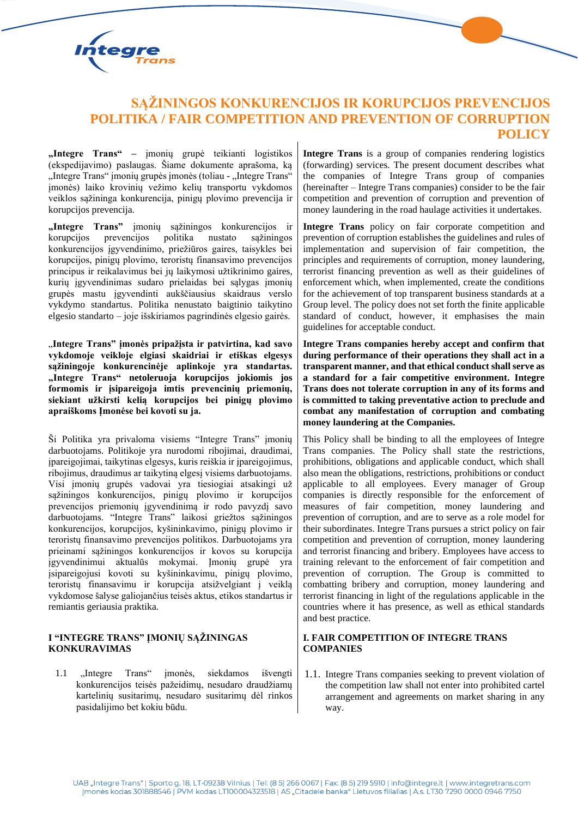

**"Integre Trans" –** įmonių grupė teikianti logistikos (ekspedijavimo) paslaugas. Šiame dokumente aprašoma, ką "Integre Trans" įmonių grupės įmonės (toliau - "Integre Trans" įmonės) laiko krovinių vežimo kelių transportu vykdomos veiklos sąžininga konkurencija, pinigų plovimo prevencija ir korupcijos prevencija.

**"Integre Trans"** įmonių sąžiningos konkurencijos ir korupcijos prevencijos politika nustato sąžiningos konkurencijos įgyvendinimo, priežiūros gaires, taisykles bei korupcijos, pinigų plovimo, teroristų finansavimo prevencijos principus ir reikalavimus bei jų laikymosi užtikrinimo gaires, kurių įgyvendinimas sudaro prielaidas bei sąlygas įmonių grupės mastu įgyvendinti aukščiausius skaidraus verslo vykdymo standartus. Politika nenustato baigtinio taikytino elgesio standarto – joje išskiriamos pagrindinės elgesio gairės.

"**Integre Trans" įmonės pripažįsta ir patvirtina, kad savo vykdomoje veikloje elgiasi skaidriai ir etiškas elgesys sąžiningoje konkurencinėje aplinkoje yra standartas. "Integre Trans" netoleruoja korupcijos jokiomis jos formomis ir įsipareigoja imtis prevencinių priemonių, siekiant užkirsti kelią korupcijos bei pinigų plovimo apraiškoms Įmonėse bei kovoti su ja.**

Ši Politika yra privaloma visiems "Integre Trans" įmonių darbuotojams. Politikoje yra nurodomi ribojimai, draudimai, įpareigojimai, taikytinas elgesys, kuris reiškia ir įpareigojimus, ribojimus, draudimus ar taikytiną elgesį visiems darbuotojams. Visi įmonių grupės vadovai yra tiesiogiai atsakingi už sąžiningos konkurencijos, pinigų plovimo ir korupcijos prevencijos priemonių įgyvendinimą ir rodo pavyzdį savo darbuotojams. "Integre Trans" laikosi griežtos sąžiningos konkurencijos, korupcijos, kyšininkavimo, pinigų plovimo ir teroristų finansavimo prevencijos politikos. Darbuotojams yra prieinami sąžiningos konkurencijos ir kovos su korupcija įgyvendinimui aktualūs mokymai. Įmonių grupė yra įsipareigojusi kovoti su kyšininkavimu, pinigų plovimo, teroristų finansavimu ir korupcija atsižvelgiant į veiklą vykdomose šalyse galiojančius teisės aktus, etikos standartus ir remiantis geriausia praktika.

## **I "INTEGRE TRANS" ĮMONIŲ SĄŽININGAS KONKURAVIMAS**

1.1 "Integre Trans" įmonės, siekdamos išvengti konkurencijos teisės pažeidimų, nesudaro draudžiamų kartelinių susitarimų, nesudaro susitarimų dėl rinkos pasidalijimo bet kokiu būdu.

**Integre Trans** is a group of companies rendering logistics (forwarding) services. The present document describes what the companies of Integre Trans group of companies (hereinafter – Integre Trans companies) consider to be the fair competition and prevention of corruption and prevention of money laundering in the road haulage activities it undertakes.

**Integre Trans** policy on fair corporate competition and prevention of corruption establishes the guidelines and rules of implementation and supervision of fair competition, the principles and requirements of corruption, money laundering, terrorist financing prevention as well as their guidelines of enforcement which, when implemented, create the conditions for the achievement of top transparent business standards at a Group level. The policy does not set forth the finite applicable standard of conduct, however, it emphasises the main guidelines for acceptable conduct.

**Integre Trans companies hereby accept and confirm that during performance of their operations they shall act in a transparent manner, and that ethical conduct shall serve as a standard for a fair competitive environment. Integre Trans does not tolerate corruption in any of its forms and is committed to taking preventative action to preclude and combat any manifestation of corruption and combating money laundering at the Companies.**

This Policy shall be binding to all the employees of Integre Trans companies. The Policy shall state the restrictions, prohibitions, obligations and applicable conduct, which shall also mean the obligations, restrictions, prohibitions or conduct applicable to all employees. Every manager of Group companies is directly responsible for the enforcement of measures of fair competition, money laundering and prevention of corruption, and are to serve as a role model for their subordinates. Integre Trans pursues a strict policy on fair competition and prevention of corruption, money laundering and terrorist financing and bribery. Employees have access to training relevant to the enforcement of fair competition and prevention of corruption. The Group is committed to combatting bribery and corruption, money laundering and terrorist financing in light of the regulations applicable in the countries where it has presence, as well as ethical standards and best practice.

## **I. FAIR COMPETITION OF INTEGRE TRANS COMPANIES**

1.1. Integre Trans companies seeking to prevent violation of the competition law shall not enter into prohibited cartel arrangement and agreements on market sharing in any way.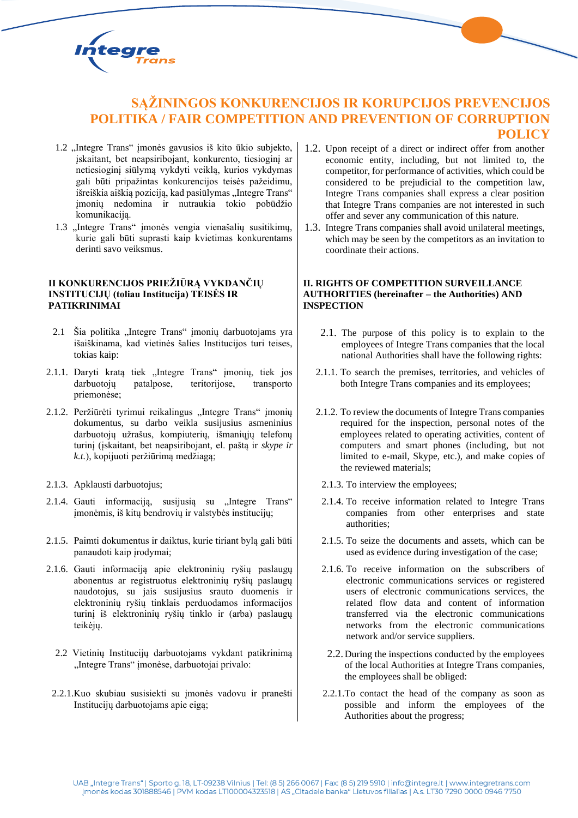

- 1.2 ..Integre Trans" imonės gavusios iš kito ūkio subiekto, įskaitant, bet neapsiribojant, konkurento, tiesioginį ar netiesioginį siūlymą vykdyti veiklą, kurios vykdymas gali būti pripažintas konkurencijos teisės pažeidimu, išreiškia aiškią poziciją, kad pasiūlymas "Integre Trans" įmonių nedomina ir nutraukia tokio pobūdžio komunikaciją.
- 1.3 "Integre Trans" įmonės vengia vienašalių susitikimų, kurie gali būti suprasti kaip kvietimas konkurentams derinti savo veiksmus.

## **II KONKURENCIJOS PRIEŽIŪRĄ VYKDANČIŲ INSTITUCIJŲ (toliau Institucija) TEISĖS IR PATIKRINIMAI**

- 2.1 Šia politika "Integre Trans" įmonių darbuotojams yra išaiškinama, kad vietinės šalies Institucijos turi teises, tokias kaip:
- 2.1.1. Daryti kratą tiek "Integre Trans" įmonių, tiek jos darbuotojų patalpose, teritorijose, transporto priemonėse;
- 2.1.2. Peržiūrėti tyrimui reikalingus "Integre Trans" įmonių dokumentus, su darbo veikla susijusius asmeninius darbuotojų užrašus, kompiuterių, išmaniųjų telefonų turinį (įskaitant, bet neapsiribojant, el. paštą ir *skype ir k.t.*), kopijuoti peržiūrimą medžiagą;
- 
- 2.1.4. Gauti informaciją, susijusią su "Integre Trans" įmonėmis, iš kitų bendrovių ir valstybės institucijų;
- 2.1.5. Paimti dokumentus ir daiktus, kurie tiriant bylą gali būti panaudoti kaip įrodymai;
- 2.1.6. Gauti informaciją apie elektroninių ryšių paslaugų abonentus ar registruotus elektroninių ryšių paslaugų naudotojus, su jais susijusius srauto duomenis ir elektroninių ryšių tinklais perduodamos informacijos turinį iš elektroninių ryšių tinklo ir (arba) paslaugų teikėjų.
	- 2.2 Vietinių Institucijų darbuotojams vykdant patikrinimą "Integre Trans" įmonėse, darbuotojai privalo:
- 2.2.1.Kuo skubiau susisiekti su įmonės vadovu ir pranešti Institucijų darbuotojams apie eigą;
- 1.2. Upon receipt of a direct or indirect offer from another economic entity, including, but not limited to, the competitor, for performance of activities, which could be considered to be prejudicial to the competition law, Integre Trans companies shall express a clear position that Integre Trans companies are not interested in such offer and sever any communication of this nature.
- 1.3. Integre Trans companies shall avoid unilateral meetings, which may be seen by the competitors as an invitation to coordinate their actions.

## **II. RIGHTS OF COMPETITION SURVEILLANCE AUTHORITIES (hereinafter – the Authorities) AND INSPECTION**

- 2.1. The purpose of this policy is to explain to the employees of Integre Trans companies that the local national Authorities shall have the following rights:
- 2.1.1. To search the premises, territories, and vehicles of both Integre Trans companies and its employees;
- 2.1.2. To review the documents of Integre Trans companies required for the inspection, personal notes of the employees related to operating activities, content of computers and smart phones (including, but not limited to e-mail, Skype, etc.), and make copies of the reviewed materials;
- 2.1.3. Apklausti darbuotojus; 2.1.3. To interview the employees;
	- 2.1.4. To receive information related to Integre Trans companies from other enterprises and state authorities;
	- 2.1.5. To seize the documents and assets, which can be used as evidence during investigation of the case;
	- 2.1.6. To receive information on the subscribers of electronic communications services or registered users of electronic communications services, the related flow data and content of information transferred via the electronic communications networks from the electronic communications network and/or service suppliers.
	- 2.2. During the inspections conducted by the employees of the local Authorities at Integre Trans companies, the employees shall be obliged:
	- 2.2.1.To contact the head of the company as soon as possible and inform the employees of the Authorities about the progress;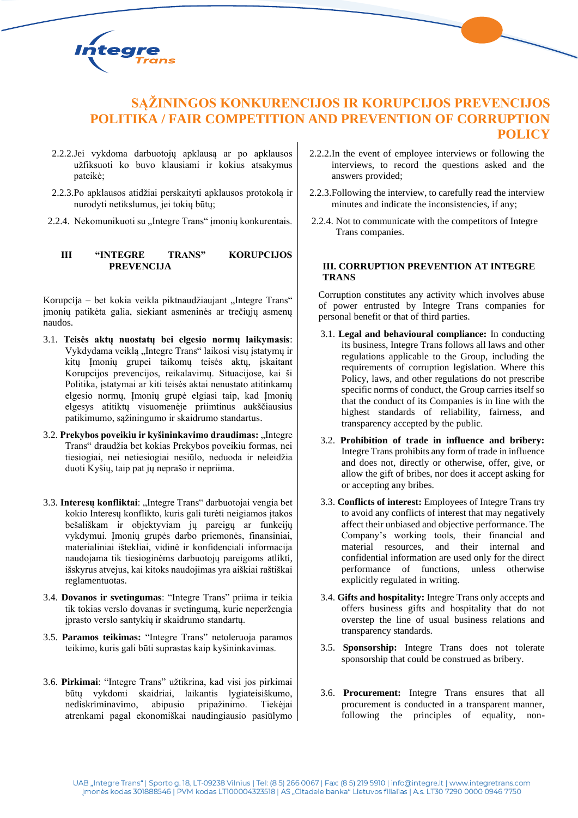

- 2.2.2.Jei vykdoma darbuotojų apklausą ar po apklausos užfiksuoti ko buvo klausiami ir kokius atsakymus pateikė;
- 2.2.3.Po apklausos atidžiai perskaityti apklausos protokolą ir nurodyti netikslumus, jei tokių būtų;
- 2.2.4. Nekomunikuoti su "Integre Trans" įmonių konkurentais.

## **III "INTEGRE TRANS" KORUPCIJOS PREVENCIJA**

Korupcija – bet kokia veikla piktnaudžiaujant "Integre Trans" įmonių patikėta galia, siekiant asmeninės ar trečiųjų asmenų naudos.

- 3.1. **Teisės aktų nuostatų bei elgesio normų laikymasis**: Vykdydama veiklą "Integre Trans" laikosi visų įstatymų ir kitų Įmonių grupei taikomų teisės aktų, įskaitant Korupcijos prevencijos, reikalavimų. Situacijose, kai ši Politika, įstatymai ar kiti teisės aktai nenustato atitinkamų elgesio normų, Įmonių grupė elgiasi taip, kad Įmonių elgesys atitiktų visuomenėje priimtinus aukščiausius patikimumo, sąžiningumo ir skaidrumo standartus.
- 3.2. Prekybos poveikiu ir kyšininkavimo draudimas: "Integre Trans" draudžia bet kokias Prekybos poveikiu formas, nei tiesiogiai, nei netiesiogiai nesiūlo, neduoda ir neleidžia duoti Kyšių, taip pat jų neprašo ir nepriima.
- 3.3. Interesų konfliktai: "Integre Trans" darbuotojai vengia bet kokio Interesų konflikto, kuris gali turėti neigiamos įtakos bešališkam ir objektyviam jų pareigų ar funkcijų vykdymui. Įmonių grupės darbo priemonės, finansiniai, materialiniai ištekliai, vidinė ir konfidenciali informacija naudojama tik tiesioginėms darbuotojų pareigoms atlikti, išskyrus atvejus, kai kitoks naudojimas yra aiškiai raštiškai reglamentuotas.
- 3.4. **Dovanos ir svetingumas**: "Integre Trans" priima ir teikia tik tokias verslo dovanas ir svetingumą, kurie neperžengia įprasto verslo santykių ir skaidrumo standartų.
- 3.5. **Paramos teikimas:** "Integre Trans" netoleruoja paramos teikimo, kuris gali būti suprastas kaip kyšininkavimas.
- 3.6. **Pirkimai**: "Integre Trans" užtikrina, kad visi jos pirkimai būtų vykdomi skaidriai, laikantis lygiateisiškumo, nediskriminavimo, abipusio pripažinimo. Tiekėjai atrenkami pagal ekonomiškai naudingiausio pasiūlymo
- 2.2.2.In the event of employee interviews or following the interviews, to record the questions asked and the answers provided;
- 2.2.3.Following the interview, to carefully read the interview minutes and indicate the inconsistencies, if any;
- 2.2.4. Not to communicate with the competitors of Integre Trans companies.

## **III. CORRUPTION PREVENTION AT INTEGRE TRANS**

Corruption constitutes any activity which involves abuse of power entrusted by Integre Trans companies for personal benefit or that of third parties.

- 3.1. **Legal and behavioural compliance:** In conducting its business, Integre Trans follows all laws and other regulations applicable to the Group, including the requirements of corruption legislation. Where this Policy, laws, and other regulations do not prescribe specific norms of conduct, the Group carries itself so that the conduct of its Companies is in line with the highest standards of reliability, fairness, and transparency accepted by the public.
- 3.2. **Prohibition of trade in influence and bribery:** Integre Trans prohibits any form of trade in influence and does not, directly or otherwise, offer, give, or allow the gift of bribes, nor does it accept asking for or accepting any bribes.
- 3.3. **Conflicts of interest:** Employees of Integre Trans try to avoid any conflicts of interest that may negatively affect their unbiased and objective performance. The Company's working tools, their financial and material resources, and their internal and confidential information are used only for the direct performance of functions, unless otherwise explicitly regulated in writing.
- 3.4. **Gifts and hospitality:** Integre Trans only accepts and offers business gifts and hospitality that do not overstep the line of usual business relations and transparency standards.
- 3.5. **Sponsorship:** Integre Trans does not tolerate sponsorship that could be construed as bribery.
- 3.6. **Procurement:** Integre Trans ensures that all procurement is conducted in a transparent manner, following the principles of equality, non-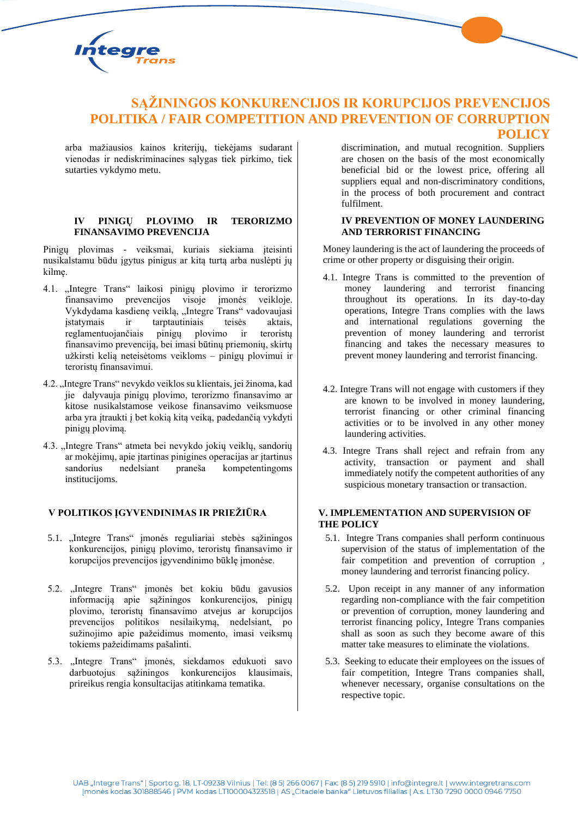arba mažiausios kainos kriterijų, tiekėjams sudarant vienodas ir nediskriminacines sąlygas tiek pirkimo, tiek sutarties vykdymo metu.

## **IV PINIGŲ PLOVIMO IR TERORIZMO FINANSAVIMO PREVENCIJA**

Pinigų plovimas - veiksmai, kuriais siekiama įteisinti nusikalstamu būdu įgytus pinigus ar kitą turtą arba nuslėpti jų kilmę.

- 4.1. "Integre Trans" laikosi pinigų plovimo ir terorizmo finansavimo prevencijos visoje įmonės veikloje. Vykdydama kasdienę veiklą, "Integre Trans" vadovaujasi įstatymais ir tarptautiniais teisės aktais, reglamentuojančiais pinigų plovimo ir teroristų finansavimo prevenciją, bei imasi būtinų priemonių, skirtų užkirsti kelią neteisėtoms veikloms – pinigų plovimui ir teroristų finansavimui.
- 4.2. "Integre Trans" nevykdo veiklos su klientais, jei žinoma, kad jie dalyvauja pinigų plovimo, terorizmo finansavimo ar kitose nusikalstamose veikose finansavimo veiksmuose arba yra įtraukti į bet kokią kitą veiką, padedančią vykdyti pinigų plovimą.
- 4.3. "Integre Trans" atmeta bei nevykdo jokių veiklų, sandorių ar mokėjimų, apie įtartinas pinigines operacijas ar įtartinus sandorius nedelsiant praneša kompetentingoms institucijoms.

## **V POLITIKOS ĮGYVENDINIMAS IR PRIEŽIŪRA V. IMPLEMENTATION AND SUPERVISION OF**

- 5.1. "Integre Trans" įmonės reguliariai stebės sąžiningos konkurencijos, pinigų plovimo, teroristų finansavimo ir korupcijos prevencijos įgyvendinimo būklę įmonėse.
- 5.2. "Integre Trans" įmonės bet kokiu būdu gavusios informaciją apie sąžiningos konkurencijos, pinigų plovimo, teroristų finansavimo atvejus ar korupcijos prevencijos politikos nesilaikymą, nedelsiant, po sužinojimo apie pažeidimus momento, imasi veiksmų tokiems pažeidimams pašalinti.
- 5.3. "Integre Trans" įmonės, siekdamos edukuoti savo darbuotojus sąžiningos konkurencijos klausimais, prireikus rengia konsultacijas atitinkama tematika.

discrimination, and mutual recognition. Suppliers are chosen on the basis of the most economically beneficial bid or the lowest price, offering all suppliers equal and non-discriminatory conditions, in the process of both procurement and contract fulfilment.

## **IV PREVENTION OF MONEY LAUNDERING AND TERRORIST FINANCING**

Money laundering is the act of laundering the proceeds of crime or other property or disguising their origin.

- 4.1. Integre Trans is committed to the prevention of money laundering and terrorist financing throughout its operations. In its day-to-day operations, Integre Trans complies with the laws and international regulations governing the prevention of money laundering and terrorist financing and takes the necessary measures to prevent money laundering and terrorist financing.
- 4.2. Integre Trans will not engage with customers if they are known to be involved in money laundering, terrorist financing or other criminal financing activities or to be involved in any other money laundering activities.
- 4.3. Integre Trans shall reject and refrain from any activity, transaction or payment and shall immediately notify the competent authorities of any suspicious monetary transaction or transaction.

# **THE POLICY**

- 5.1. Integre Trans companies shall perform continuous supervision of the status of implementation of the fair competition and prevention of corruption , money laundering and terrorist financing policy.
- 5.2. Upon receipt in any manner of any information regarding non-compliance with the fair competition or prevention of corruption, money laundering and terrorist financing policy, Integre Trans companies shall as soon as such they become aware of this matter take measures to eliminate the violations.
- 5.3. Seeking to educate their employees on the issues of fair competition, Integre Trans companies shall, whenever necessary, organise consultations on the respective topic.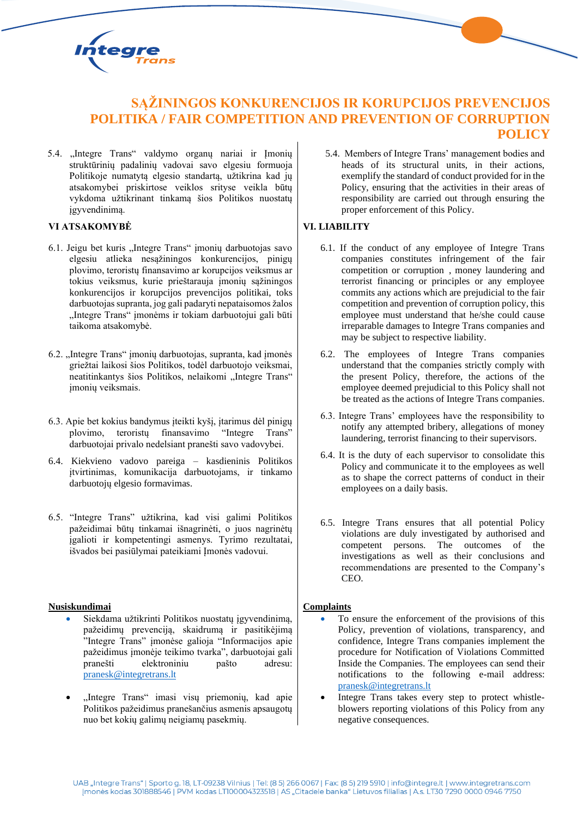

5.4. "Integre Trans" valdymo organų nariai ir Įmonių struktūrinių padalinių vadovai savo elgesiu formuoja Politikoje numatytą elgesio standartą, užtikrina kad jų atsakomybei priskirtose veiklos srityse veikla būtų vykdoma užtikrinant tinkamą šios Politikos nuostatų įgyvendinimą.

## **VI ATSAKOMYBĖ VI. LIABILITY**

- 6.1. Jeigu bet kuris "Integre Trans" įmonių darbuotojas savo elgesiu atlieka nesąžiningos konkurencijos, pinigų plovimo, teroristų finansavimo ar korupcijos veiksmus ar tokius veiksmus, kurie prieštarauja įmonių sąžiningos konkurencijos ir korupcijos prevencijos politikai, toks darbuotojas supranta, jog gali padaryti nepataisomos žalos "Integre Trans" įmonėms ir tokiam darbuotojui gali būti taikoma atsakomybė.
- 6.2. "Integre Trans" įmonių darbuotojas, supranta, kad įmonės griežtai laikosi šios Politikos, todėl darbuotojo veiksmai, neatitinkantys šios Politikos, nelaikomi "Integre Trans" įmonių veiksmais.
- 6.3. Apie bet kokius bandymus įteikti kyšį, įtarimus dėl pinigų plovimo, teroristų finansavimo "Integre Trans" darbuotojai privalo nedelsiant pranešti savo vadovybei.
- 6.4. Kiekvieno vadovo pareiga kasdieninis Politikos įtvirtinimas, komunikacija darbuotojams, ir tinkamo darbuotojų elgesio formavimas.
- 6.5. "Integre Trans" užtikrina, kad visi galimi Politikos pažeidimai būtų tinkamai išnagrinėti, o juos nagrinėtų įgalioti ir kompetentingi asmenys. Tyrimo rezultatai, išvados bei pasiūlymai pateikiami Įmonės vadovui.

## **Nusiskundimai Complaints**

- Siekdama užtikrinti Politikos nuostatų įgyvendinimą, pažeidimų prevenciją, skaidrumą ir pasitikėjimą "Integre Trans" įmonėse galioja "Informacijos apie pažeidimus įmonėje teikimo tvarka", darbuotojai gali pranešti elektroniniu pašto adresu: [pranesk@integretrans.lt](mailto:pranesk@integretrans.lt)
- "Integre Trans" imasi visų priemonių, kad apie Politikos pažeidimus pranešančius asmenis apsaugotų nuo bet kokių galimų neigiamų pasekmių.

5.4. Members of Integre Trans' management bodies and heads of its structural units, in their actions, exemplify the standard of conduct provided for in the Policy, ensuring that the activities in their areas of responsibility are carried out through ensuring the proper enforcement of this Policy.

- 6.1. If the conduct of any employee of Integre Trans companies constitutes infringement of the fair competition or corruption , money laundering and terrorist financing or principles or any employee commits any actions which are prejudicial to the fair competition and prevention of corruption policy, this employee must understand that he/she could cause irreparable damages to Integre Trans companies and may be subject to respective liability.
- 6.2. The employees of Integre Trans companies understand that the companies strictly comply with the present Policy, therefore, the actions of the employee deemed prejudicial to this Policy shall not be treated as the actions of Integre Trans companies.
- 6.3. Integre Trans' employees have the responsibility to notify any attempted bribery, allegations of money laundering, terrorist financing to their supervisors.
- 6.4. It is the duty of each supervisor to consolidate this Policy and communicate it to the employees as well as to shape the correct patterns of conduct in their employees on a daily basis.
- 6.5. Integre Trans ensures that all potential Policy violations are duly investigated by authorised and competent persons. The outcomes of the investigations as well as their conclusions and recommendations are presented to the Company's CEO.

- To ensure the enforcement of the provisions of this Policy, prevention of violations, transparency, and confidence, Integre Trans companies implement the procedure for Notification of Violations Committed Inside the Companies. The employees can send their notifications to the following e-mail address: [pranesk@integretrans.lt](mailto:pranesk@integretrans.lt)
- Integre Trans takes every step to protect whistleblowers reporting violations of this Policy from any negative consequences.